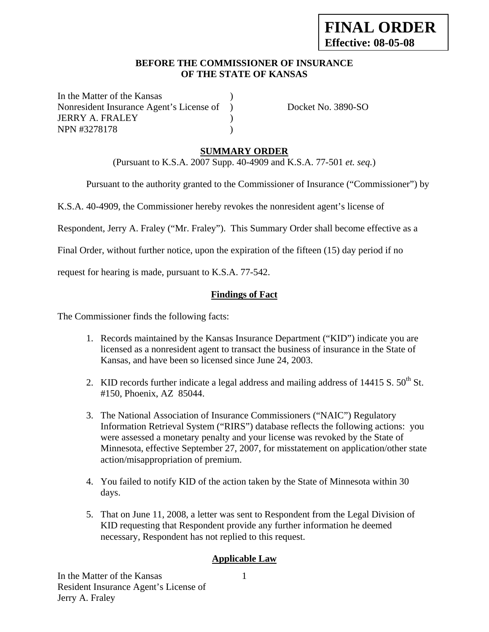### **BEFORE THE COMMISSIONER OF INSURANCE OF THE STATE OF KANSAS**

In the Matter of the Kansas Nonresident Insurance Agent's License of ) Docket No. 3890-SO JERRY A. FRALEY ) NPN #3278178 (1992)

# **SUMMARY ORDER**

(Pursuant to K.S.A. 2007 Supp. 40-4909 and K.S.A. 77-501 *et. seq.*)

Pursuant to the authority granted to the Commissioner of Insurance ("Commissioner") by

K.S.A. 40-4909, the Commissioner hereby revokes the nonresident agent's license of

Respondent, Jerry A. Fraley ("Mr. Fraley"). This Summary Order shall become effective as a

Final Order, without further notice, upon the expiration of the fifteen (15) day period if no

request for hearing is made, pursuant to K.S.A. 77-542.

### **Findings of Fact**

The Commissioner finds the following facts:

- 1. Records maintained by the Kansas Insurance Department ("KID") indicate you are licensed as a nonresident agent to transact the business of insurance in the State of Kansas, and have been so licensed since June 24, 2003.
- 2. KID records further indicate a legal address and mailing address of  $14415 S$ .  $50<sup>th</sup> St$ . #150, Phoenix, AZ 85044.
- 3. The National Association of Insurance Commissioners ("NAIC") Regulatory Information Retrieval System ("RIRS") database reflects the following actions: you were assessed a monetary penalty and your license was revoked by the State of Minnesota, effective September 27, 2007, for misstatement on application/other state action/misappropriation of premium.
- 4. You failed to notify KID of the action taken by the State of Minnesota within 30 days.
- 5. That on June 11, 2008, a letter was sent to Respondent from the Legal Division of KID requesting that Respondent provide any further information he deemed necessary, Respondent has not replied to this request.

### **Applicable Law**

In the Matter of the Kansas Resident Insurance Agent's License of Jerry A. Fraley

1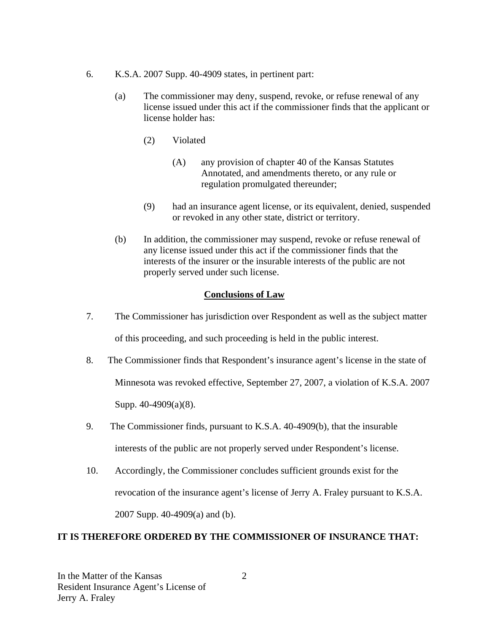- 6. K.S.A. 2007 Supp. 40-4909 states, in pertinent part:
	- (a) The commissioner may deny, suspend, revoke, or refuse renewal of any license issued under this act if the commissioner finds that the applicant or license holder has:
		- (2) Violated
			- (A) any provision of chapter 40 of the Kansas Statutes Annotated, and amendments thereto, or any rule or regulation promulgated thereunder;
		- (9) had an insurance agent license, or its equivalent, denied, suspended or revoked in any other state, district or territory.
	- (b) In addition, the commissioner may suspend, revoke or refuse renewal of any license issued under this act if the commissioner finds that the interests of the insurer or the insurable interests of the public are not properly served under such license.

### **Conclusions of Law**

- 7. The Commissioner has jurisdiction over Respondent as well as the subject matter of this proceeding, and such proceeding is held in the public interest.
- 8. The Commissioner finds that Respondent's insurance agent's license in the state of Minnesota was revoked effective, September 27, 2007, a violation of K.S.A. 2007 Supp. 40-4909(a)(8).
- 9. The Commissioner finds, pursuant to K.S.A. 40-4909(b), that the insurable interests of the public are not properly served under Respondent's license.
- 10. Accordingly, the Commissioner concludes sufficient grounds exist for the revocation of the insurance agent's license of Jerry A. Fraley pursuant to K.S.A. 2007 Supp. 40-4909(a) and (b).

### **IT IS THEREFORE ORDERED BY THE COMMISSIONER OF INSURANCE THAT:**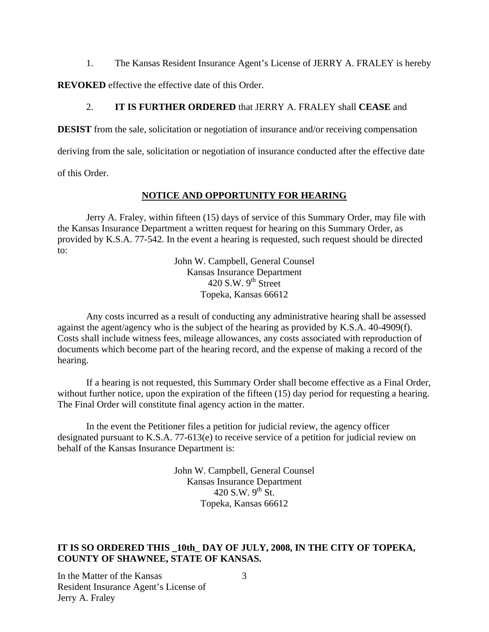1. The Kansas Resident Insurance Agent's License of JERRY A. FRALEY is hereby

**REVOKED** effective the effective date of this Order.

### 2. **IT IS FURTHER ORDERED** that JERRY A. FRALEY shall **CEASE** and

**DESIST** from the sale, solicitation or negotiation of insurance and/or receiving compensation

deriving from the sale, solicitation or negotiation of insurance conducted after the effective date

of this Order.

### **NOTICE AND OPPORTUNITY FOR HEARING**

Jerry A. Fraley, within fifteen (15) days of service of this Summary Order, may file with the Kansas Insurance Department a written request for hearing on this Summary Order, as provided by K.S.A. 77-542. In the event a hearing is requested, such request should be directed to:

> John W. Campbell, General Counsel Kansas Insurance Department 420 S.W.  $9<sup>th</sup>$  Street Topeka, Kansas 66612

Any costs incurred as a result of conducting any administrative hearing shall be assessed against the agent/agency who is the subject of the hearing as provided by K.S.A. 40-4909(f). Costs shall include witness fees, mileage allowances, any costs associated with reproduction of documents which become part of the hearing record, and the expense of making a record of the hearing.

If a hearing is not requested, this Summary Order shall become effective as a Final Order, without further notice, upon the expiration of the fifteen (15) day period for requesting a hearing. The Final Order will constitute final agency action in the matter.

In the event the Petitioner files a petition for judicial review, the agency officer designated pursuant to K.S.A. 77-613(e) to receive service of a petition for judicial review on behalf of the Kansas Insurance Department is:

> John W. Campbell, General Counsel Kansas Insurance Department 420 S.W.  $9^{th}$  St. Topeka, Kansas 66612

# **IT IS SO ORDERED THIS \_10th\_ DAY OF JULY, 2008, IN THE CITY OF TOPEKA, COUNTY OF SHAWNEE, STATE OF KANSAS.**

In the Matter of the Kansas Resident Insurance Agent's License of Jerry A. Fraley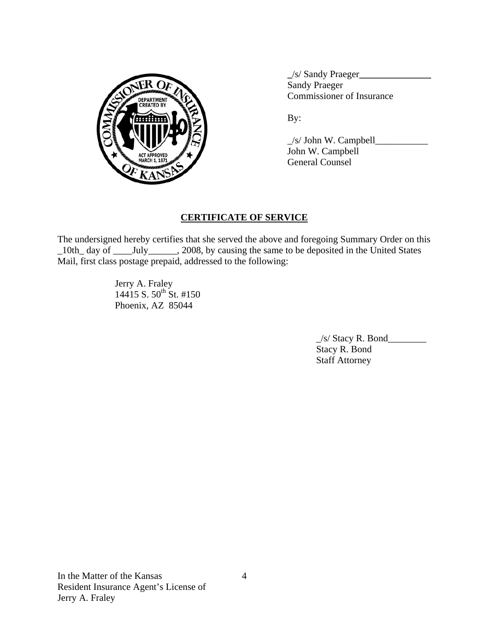

 **\_**/s/ Sandy Praeger**\_\_\_\_\_\_\_\_\_\_\_\_\_\_\_** Sandy Praeger PARTMENT VOLTON COMMISSIONER OF Insurance

 $\angle$ s/ John W. Campbell $\angle$  John W. Campbell General Counsel

# **CERTIFICATE OF SERVICE**

The undersigned hereby certifies that she served the above and foregoing Summary Order on this \_10th\_ day of \_\_\_\_July\_\_\_\_\_\_, 2008, by causing the same to be deposited in the United States Mail, first class postage prepaid, addressed to the following:

> Jerry A. Fraley 14415 S.  $50^{th}$  St. #150 Phoenix, AZ 85044

> > $\angle$ s/ Stacy R. Bond $\angle$  Stacy R. Bond Staff Attorney